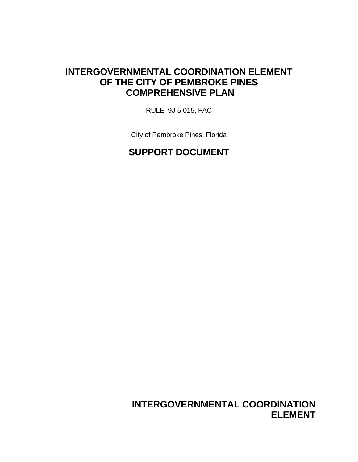## **INTERGOVERNMENTAL COORDINATION ELEMENT OF THE CITY OF PEMBROKE PINES COMPREHENSIVE PLAN**

RULE 9J-5.015, FAC

City of Pembroke Pines, Florida

## **SUPPORT DOCUMENT**

**INTERGOVERNMENTAL COORDINATION ELEMENT**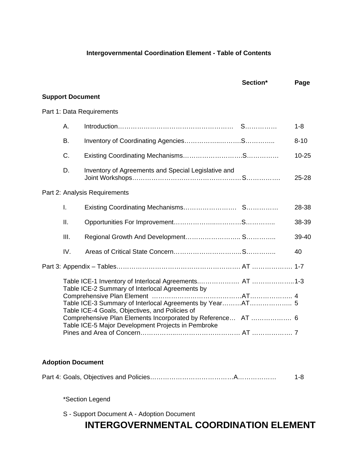#### **Intergovernmental Coordination Element - Table of Contents**

|                         |                                                                                                                                                                     | Section* | Page      |
|-------------------------|---------------------------------------------------------------------------------------------------------------------------------------------------------------------|----------|-----------|
| <b>Support Document</b> |                                                                                                                                                                     |          |           |
|                         | Part 1: Data Requirements                                                                                                                                           |          |           |
| Α.                      |                                                                                                                                                                     |          | $1 - 8$   |
| B.                      |                                                                                                                                                                     |          | $8 - 10$  |
| C.                      |                                                                                                                                                                     |          | $10 - 25$ |
| D.                      | Inventory of Agreements and Special Legislative and                                                                                                                 |          | 25-28     |
|                         | Part 2: Analysis Requirements                                                                                                                                       |          |           |
| I.                      |                                                                                                                                                                     |          | 28-38     |
| ΙΙ.                     |                                                                                                                                                                     |          | 38-39     |
| III.                    |                                                                                                                                                                     |          | 39-40     |
| IV.                     |                                                                                                                                                                     |          | 40        |
|                         |                                                                                                                                                                     |          |           |
|                         | Table ICE-2 Summary of Interlocal Agreements by                                                                                                                     |          |           |
|                         |                                                                                                                                                                     |          |           |
|                         |                                                                                                                                                                     |          |           |
|                         | Table ICE-4 Goals, Objectives, and Policies of<br>Comprehensive Plan Elements Incorporated by Reference AT  6<br>Table ICE-5 Major Development Projects in Pembroke |          |           |
|                         |                                                                                                                                                                     |          |           |

#### **Adoption Document**

|--|--|

\*Section Legend

S - Support Document A - Adoption Document

## **INTERGOVERNMENTAL COORDINATION ELEMENT**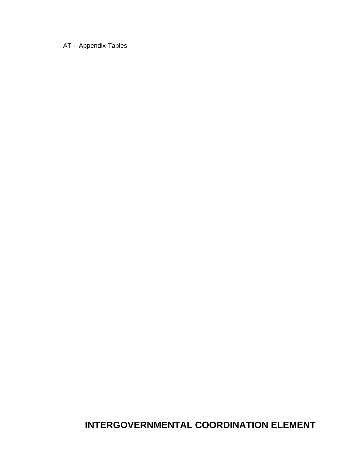#### AT - Appendix-Tables

**INTERGOVERNMENTAL COORDINATION ELEMENT**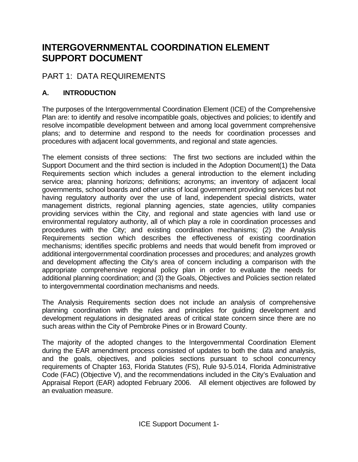## **INTERGOVERNMENTAL COORDINATION ELEMENT SUPPORT DOCUMENT**

## PART 1: DATA REQUIREMENTS

## **A. INTRODUCTION**

The purposes of the Intergovernmental Coordination Element (ICE) of the Comprehensive Plan are: to identify and resolve incompatible goals, objectives and policies; to identify and resolve incompatible development between and among local government comprehensive plans; and to determine and respond to the needs for coordination processes and procedures with adjacent local governments, and regional and state agencies.

The element consists of three sections: The first two sections are included within the Support Document and the third section is included in the Adoption Document(1) the Data Requirements section which includes a general introduction to the element including service area; planning horizons; definitions; acronyms; an inventory of adjacent local governments, school boards and other units of local government providing services but not having regulatory authority over the use of land, independent special districts, water management districts, regional planning agencies, state agencies, utility companies providing services within the City, and regional and state agencies with land use or environmental regulatory authority, all of which play a role in coordination processes and procedures with the City; and existing coordination mechanisms; (2) the Analysis Requirements section which describes the effectiveness of existing coordination mechanisms; identifies specific problems and needs that would benefit from improved or additional intergovernmental coordination processes and procedures; and analyzes growth and development affecting the City's area of concern including a comparison with the appropriate comprehensive regional policy plan in order to evaluate the needs for additional planning coordination; and (3) the Goals, Objectives and Policies section related to intergovernmental coordination mechanisms and needs.

The Analysis Requirements section does not include an analysis of comprehensive planning coordination with the rules and principles for guiding development and development regulations in designated areas of critical state concern since there are no such areas within the City of Pembroke Pines or in Broward County.

The majority of the adopted changes to the Intergovernmental Coordination Element during the EAR amendment process consisted of updates to both the data and analysis, and the goals, objectives, and policies sections pursuant to school concurrency requirements of Chapter 163, Florida Statutes (FS), Rule 9J-5.014, Florida Administrative Code (FAC) (Objective V), and the recommendations included in the City's Evaluation and Appraisal Report (EAR) adopted February 2006. All element objectives are followed by an evaluation measure.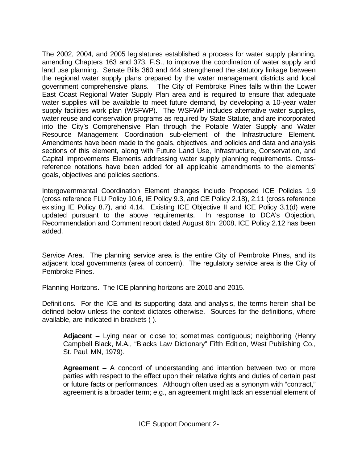The 2002, 2004, and 2005 legislatures established a process for water supply planning, amending Chapters 163 and 373, F.S., to improve the coordination of water supply and land use planning. Senate Bills 360 and 444 strengthened the statutory linkage between the regional water supply plans prepared by the water management districts and local government comprehensive plans. The City of Pembroke Pines falls within the Lower East Coast Regional Water Supply Plan area and is required to ensure that adequate water supplies will be available to meet future demand, by developing a 10-year water supply facilities work plan (WSFWP). The WSFWP includes alternative water supplies, water reuse and conservation programs as required by State Statute, and are incorporated into the City's Comprehensive Plan through the Potable Water Supply and Water Resource Management Coordination sub-element of the Infrastructure Element. Amendments have been made to the goals, objectives, and policies and data and analysis sections of this element, along with Future Land Use, Infrastructure, Conservation, and Capital Improvements Elements addressing water supply planning requirements. Crossreference notations have been added for all applicable amendments to the elements' goals, objectives and policies sections.

Intergovernmental Coordination Element changes include Proposed ICE Policies 1.9 (cross reference FLU Policy 10.6, IE Policy 9.3, and CE Policy 2.18), 2.11 (cross reference existing IE Policy 8.7), and 4.14. Existing ICE Objective II and ICE Policy 3.1(d) were updated pursuant to the above requirements. In response to DCA's Objection, Recommendation and Comment report dated August 6th, 2008, ICE Policy 2.12 has been added.

Service Area. The planning service area is the entire City of Pembroke Pines, and its adjacent local governments (area of concern). The regulatory service area is the City of Pembroke Pines.

Planning Horizons. The ICE planning horizons are 2010 and 2015.

Definitions. For the ICE and its supporting data and analysis, the terms herein shall be defined below unless the context dictates otherwise. Sources for the definitions, where available, are indicated in brackets ( ).

**Adjacent** – Lying near or close to; sometimes contiguous; neighboring (Henry Campbell Black, M.A., "Blacks Law Dictionary" Fifth Edition, West Publishing Co., St. Paul, MN, 1979).

**Agreement** – A concord of understanding and intention between two or more parties with respect to the effect upon their relative rights and duties of certain past or future facts or performances. Although often used as a synonym with "contract," agreement is a broader term; e.g., an agreement might lack an essential element of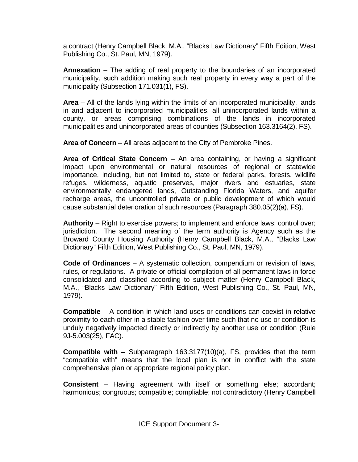a contract (Henry Campbell Black, M.A., "Blacks Law Dictionary" Fifth Edition, West Publishing Co., St. Paul, MN, 1979).

**Annexation** – The adding of real property to the boundaries of an incorporated municipality, such addition making such real property in every way a part of the municipality (Subsection 171.031(1), FS).

**Area** – All of the lands lying within the limits of an incorporated municipality, lands in and adjacent to incorporated municipalities, all unincorporated lands within a county, or areas comprising combinations of the lands in incorporated municipalities and unincorporated areas of counties (Subsection 163.3164(2), FS).

**Area of Concern** – All areas adjacent to the City of Pembroke Pines.

**Area of Critical State Concern** – An area containing, or having a significant impact upon environmental or natural resources of regional or statewide importance, including, but not limited to, state or federal parks, forests, wildlife refuges, wilderness, aquatic preserves, major rivers and estuaries, state environmentally endangered lands, Outstanding Florida Waters, and aquifer recharge areas, the uncontrolled private or public development of which would cause substantial deterioration of such resources (Paragraph 380.05(2)(a), FS).

**Authority** – Right to exercise powers; to implement and enforce laws; control over; jurisdiction. The second meaning of the term authority is Agency such as the Broward County Housing Authority (Henry Campbell Black, M.A., "Blacks Law Dictionary" Fifth Edition, West Publishing Co., St. Paul, MN, 1979).

**Code of Ordinances** – A systematic collection, compendium or revision of laws, rules, or regulations. A private or official compilation of all permanent laws in force consolidated and classified according to subject matter (Henry Campbell Black, M.A., "Blacks Law Dictionary" Fifth Edition, West Publishing Co., St. Paul, MN, 1979).

**Compatible** – A condition in which land uses or conditions can coexist in relative proximity to each other in a stable fashion over time such that no use or condition is unduly negatively impacted directly or indirectly by another use or condition (Rule 9J-5.003(25), FAC).

**Compatible with** – Subparagraph 163.3177(10)(a), FS, provides that the term "compatible with" means that the local plan is not in conflict with the state comprehensive plan or appropriate regional policy plan.

**Consistent** – Having agreement with itself or something else; accordant; harmonious; congruous; compatible; compliable; not contradictory (Henry Campbell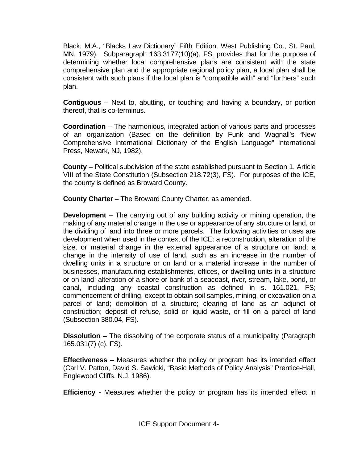Black, M.A., "Blacks Law Dictionary" Fifth Edition, West Publishing Co., St. Paul, MN, 1979). Subparagraph 163.3177(10)(a), FS, provides that for the purpose of determining whether local comprehensive plans are consistent with the state comprehensive plan and the appropriate regional policy plan, a local plan shall be consistent with such plans if the local plan is "compatible with" and "furthers" such plan.

**Contiguous** – Next to, abutting, or touching and having a boundary, or portion thereof, that is co-terminus.

**Coordination** – The harmonious, integrated action of various parts and processes of an organization (Based on the definition by Funk and Wagnall's "New Comprehensive International Dictionary of the English Language" International Press, Newark, NJ, 1982).

**County** – Political subdivision of the state established pursuant to Section 1, Article VIII of the State Constitution (Subsection 218.72(3), FS). For purposes of the ICE, the county is defined as Broward County.

**County Charter** – The Broward County Charter, as amended.

**Development** – The carrying out of any building activity or mining operation, the making of any material change in the use or appearance of any structure or land, or the dividing of land into three or more parcels. The following activities or uses are development when used in the context of the ICE: a reconstruction, alteration of the size, or material change in the external appearance of a structure on land; a change in the intensity of use of land, such as an increase in the number of dwelling units in a structure or on land or a material increase in the number of businesses, manufacturing establishments, offices, or dwelling units in a structure or on land; alteration of a shore or bank of a seacoast, river, stream, lake, pond, or canal, including any coastal construction as defined in s. 161.021, FS; commencement of drilling, except to obtain soil samples, mining, or excavation on a parcel of land; demolition of a structure; clearing of land as an adjunct of construction; deposit of refuse, solid or liquid waste, or fill on a parcel of land (Subsection 380.04, FS).

**Dissolution** – The dissolving of the corporate status of a municipality (Paragraph 165.031(7) (c), FS).

**Effectiveness** – Measures whether the policy or program has its intended effect (Carl V. Patton, David S. Sawicki, "Basic Methods of Policy Analysis" Prentice-Hall, Englewood Cliffs, N.J. 1986).

**Efficiency** - Measures whether the policy or program has its intended effect in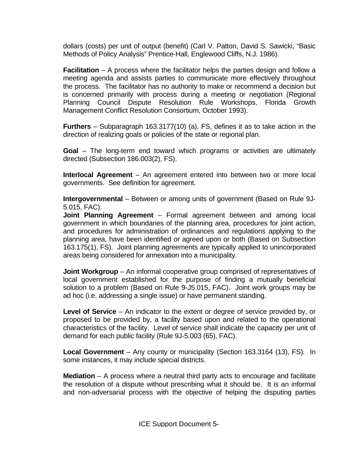dollars (costs) per unit of output (benefit) (Carl V. Patton, David S. Sawicki, "Basic Methods of Policy Analysis" Prentice-Hall, Englewood Cliffs, N.J. 1986).

**Facilitation** – A process where the facilitator helps the parties design and follow a meeting agenda and assists parties to communicate more effectively throughout the process. The facilitator has no authority to make or recommend a decision but is concerned primarily with process during a meeting or negotiation (Regional Planning Council Dispute Resolution Rule Workshops, Florida Growth Management Conflict Resolution Consortium, October 1993).

**Furthers** – Subparagraph 163.3177(10) (a), FS, defines it as to take action in the direction of realizing goals or policies of the state or regional plan.

**Goal** – The long-term end toward which programs or activities are ultimately directed (Subsection 186.003(2), FS).

**Interlocal Agreement** – An agreement entered into between two or more local governments. See definition for agreement.

**Intergovernmental** – Between or among units of government (Based on Rule 9J-5.015, FAC).

**Joint Planning Agreement** – Formal agreement between and among local government in which boundaries of the planning area, procedures for joint action, and procedures for administration of ordinances and regulations applying to the planning area, have been identified or agreed upon or both (Based on Subsection 163.175(1), FS). Joint planning agreements are typically applied to unincorporated areas being considered for annexation into a municipality.

**Joint Workgroup** – An informal cooperative group comprised of representatives of local government established for the purpose of finding a mutually beneficial solution to a problem (Based on Rule 9-J5.015, FAC). Joint work groups may be ad hoc (i.e. addressing a single issue) or have permanent standing.

**Level of Service** – An indicator to the extent or degree of service provided by, or proposed to be provided by, a facility based upon and related to the operational characteristics of the facility. Level of service shall indicate the capacity per unit of demand for each public facility (Rule 9J-5.003 (65), FAC).

**Local Government** – Any county or municipality (Section 163.3164 (13), FS). In some instances, it may include special districts.

**Mediation** – A process where a neutral third party acts to encourage and facilitate the resolution of a dispute without prescribing what it should be. It is an informal and non-adversarial process with the objective of helping the disputing parties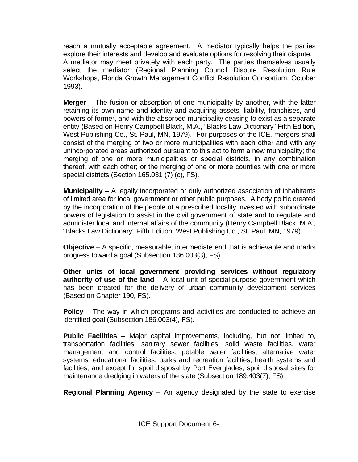reach a mutually acceptable agreement. A mediator typically helps the parties explore their interests and develop and evaluate options for resolving their dispute. A mediator may meet privately with each party. The parties themselves usually select the mediator (Regional Planning Council Dispute Resolution Rule Workshops, Florida Growth Management Conflict Resolution Consortium, October 1993).

**Merger** – The fusion or absorption of one municipality by another, with the latter retaining its own name and identity and acquiring assets, liability, franchises, and powers of former, and with the absorbed municipality ceasing to exist as a separate entity (Based on Henry Campbell Black, M.A., "Blacks Law Dictionary" Fifth Edition, West Publishing Co., St. Paul, MN, 1979). For purposes of the ICE, mergers shall consist of the merging of two or more municipalities with each other and with any unincorporated areas authorized pursuant to this act to form a new municipality; the merging of one or more municipalities or special districts, in any combination thereof, with each other; or the merging of one or more counties with one or more special districts (Section 165.031 (7) (c), FS).

**Municipality** – A legally incorporated or duly authorized association of inhabitants of limited area for local government or other public purposes. A body politic created by the incorporation of the people of a prescribed locality invested with subordinate powers of legislation to assist in the civil government of state and to regulate and administer local and internal affairs of the community (Henry Campbell Black, M.A., "Blacks Law Dictionary" Fifth Edition, West Publishing Co., St. Paul, MN, 1979).

**Objective** – A specific, measurable, intermediate end that is achievable and marks progress toward a goal (Subsection 186.003(3), FS).

**Other units of local government providing services without regulatory authority of use of the land** – A local unit of special-purpose government which has been created for the delivery of urban community development services (Based on Chapter 190, FS).

**Policy** – The way in which programs and activities are conducted to achieve an identified goal (Subsection 186.003(4), FS).

**Public Facilities** – Major capital improvements, including, but not limited to, transportation facilities, sanitary sewer facilities, solid waste facilities, water management and control facilities, potable water facilities, alternative water systems, educational facilities, parks and recreation facilities, health systems and facilities, and except for spoil disposal by Port Everglades, spoil disposal sites for maintenance dredging in waters of the state (Subsection 189.403(7), FS).

**Regional Planning Agency** – An agency designated by the state to exercise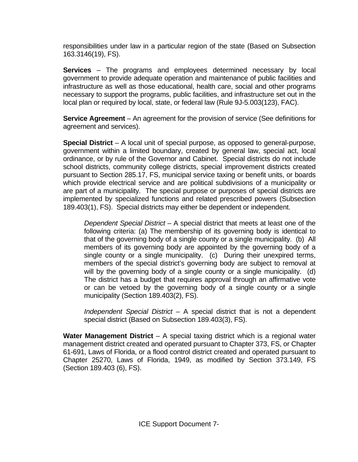responsibilities under law in a particular region of the state (Based on Subsection 163.3146(19), FS).

**Services** – The programs and employees determined necessary by local government to provide adequate operation and maintenance of public facilities and infrastructure as well as those educational, health care, social and other programs necessary to support the programs, public facilities, and infrastructure set out in the local plan or required by local, state, or federal law (Rule 9J-5.003(123), FAC).

**Service Agreement** – An agreement for the provision of service (See definitions for agreement and services).

**Special District** – A local unit of special purpose, as opposed to general-purpose, government within a limited boundary, created by general law, special act, local ordinance, or by rule of the Governor and Cabinet. Special districts do not include school districts, community college districts, special improvement districts created pursuant to Section 285.17, FS, municipal service taxing or benefit units, or boards which provide electrical service and are political subdivisions of a municipality or are part of a municipality. The special purpose or purposes of special districts are implemented by specialized functions and related prescribed powers (Subsection 189.403(1), FS). Special districts may either be dependent or independent.

*Dependent Special District –* A special district that meets at least one of the following criteria: (a) The membership of its governing body is identical to that of the governing body of a single county or a single municipality. (b) All members of its governing body are appointed by the governing body of a single county or a single municipality. (c) During their unexpired terms, members of the special district's governing body are subject to removal at will by the governing body of a single county or a single municipality. (d) The district has a budget that requires approval through an affirmative vote or can be vetoed by the governing body of a single county or a single municipality (Section 189.403(2), FS).

 *Independent Special District* – A special district that is not a dependent special district (Based on Subsection 189.403(3), FS).

**Water Management District** – A special taxing district which is a regional water management district created and operated pursuant to Chapter 373, FS, or Chapter 61-691, Laws of Florida, or a flood control district created and operated pursuant to Chapter 25270, Laws of Florida, 1949, as modified by Section 373.149, FS (Section 189.403 (6), FS).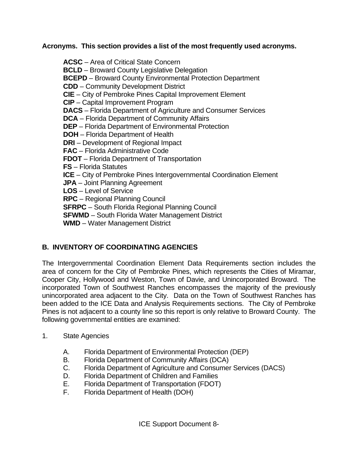**Acronyms. This section provides a list of the most frequently used acronyms.** 

**ACSC** – Area of Critical State Concern  **BCLD** – Broward County Legislative Delegation  **BCEPD** – Broward County Environmental Protection Department  **CDD** – Community Development District  **CIE** – City of Pembroke Pines Capital Improvement Element  **CIP** – Capital Improvement Program  **DACS** – Florida Department of Agriculture and Consumer Services  **DCA** – Florida Department of Community Affairs  **DEP** – Florida Department of Environmental Protection  **DOH** – Florida Department of Health  **DRI** – Development of Regional Impact  **FAC** – Florida Administrative Code  **FDOT** – Florida Department of Transportation  **FS** – Florida Statutes **ICE** – City of Pembroke Pines Intergovernmental Coordination Element  **JPA** – Joint Planning Agreement  **LOS** – Level of Service  **RPC** – Regional Planning Council  **SFRPC** – South Florida Regional Planning Council  **SFWMD** – South Florida Water Management District  **WMD** – Water Management District

### **B. INVENTORY OF COORDINATING AGENCIES**

The Intergovernmental Coordination Element Data Requirements section includes the area of concern for the City of Pembroke Pines, which represents the Cities of Miramar, Cooper City, Hollywood and Weston, Town of Davie, and Unincorporated Broward. The incorporated Town of Southwest Ranches encompasses the majority of the previously unincorporated area adjacent to the City. Data on the Town of Southwest Ranches has been added to the ICE Data and Analysis Requirements sections. The City of Pembroke Pines is not adjacent to a county line so this report is only relative to Broward County. The following governmental entities are examined:

- 1. State Agencies
	- A. Florida Department of Environmental Protection (DEP)
	- B. Florida Department of Community Affairs (DCA)
	- C. Florida Department of Agriculture and Consumer Services (DACS)
	- D. Florida Department of Children and Families
	- E. Florida Department of Transportation (FDOT)
	- F. Florida Department of Health (DOH)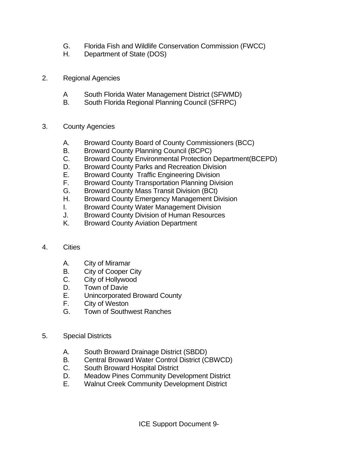- G. Florida Fish and Wildlife Conservation Commission (FWCC)
- H. Department of State (DOS)
- 2. Regional Agencies
	- A South Florida Water Management District (SFWMD)
	- B. South Florida Regional Planning Council (SFRPC)
- 3. County Agencies
	- A. Broward County Board of County Commissioners (BCC)
	- B. Broward County Planning Council (BCPC)
	- C. Broward County Environmental Protection Department(BCEPD)
	- D. Broward County Parks and Recreation Division
	- E. Broward County Traffic Engineering Division
	- F. Broward County Transportation Planning Division
	- G. Broward County Mass Transit Division (BCt)
	- H. Broward County Emergency Management Division
	- I. Broward County Water Management Division
	- J. Broward County Division of Human Resources
	- K. Broward County Aviation Department
- 4. Cities
	- A. City of Miramar
	- B. City of Cooper City
	- C. City of Hollywood
	- D. Town of Davie
	- E. Unincorporated Broward County
	- F. City of Weston
	- G. Town of Southwest Ranches
- 5. Special Districts
	- A. South Broward Drainage District (SBDD)
	- B. Central Broward Water Control District (CBWCD)
	- C. South Broward Hospital District
	- D. Meadow Pines Community Development District
	- E. Walnut Creek Community Development District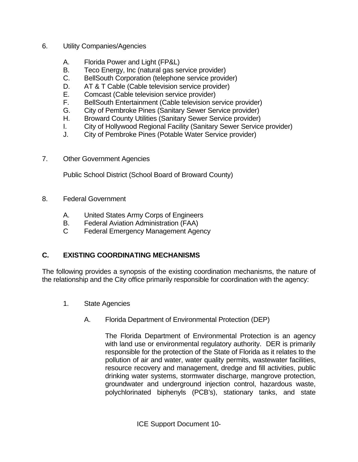- 6. Utility Companies/Agencies
	- A. Florida Power and Light (FP&L)
	- B. Teco Energy, Inc (natural gas service provider)
	- C. BellSouth Corporation (telephone service provider)
	- D. AT & T Cable (Cable television service provider)
	- E. Comcast (Cable television service provider)
	- F. BellSouth Entertainment (Cable television service provider)
	- G. City of Pembroke Pines (Sanitary Sewer Service provider)
	- H. Broward County Utilities (Sanitary Sewer Service provider)
	- I. City of Hollywood Regional Facility (Sanitary Sewer Service provider)
	- J. City of Pembroke Pines (Potable Water Service provider)
- 7. Other Government Agencies

Public School District (School Board of Broward County)

- 8. Federal Government
	- A. United States Army Corps of Engineers
	- B. Federal Aviation Administration (FAA)
	- C Federal Emergency Management Agency

#### **C. EXISTING COORDINATING MECHANISMS**

The following provides a synopsis of the existing coordination mechanisms, the nature of the relationship and the City office primarily responsible for coordination with the agency:

- 1. State Agencies
	- A. Florida Department of Environmental Protection (DEP)

The Florida Department of Environmental Protection is an agency with land use or environmental regulatory authority. DER is primarily responsible for the protection of the State of Florida as it relates to the pollution of air and water, water quality permits, wastewater facilities, resource recovery and management, dredge and fill activities, public drinking water systems, stormwater discharge, mangrove protection, groundwater and underground injection control, hazardous waste, polychlorinated biphenyls (PCB's), stationary tanks, and state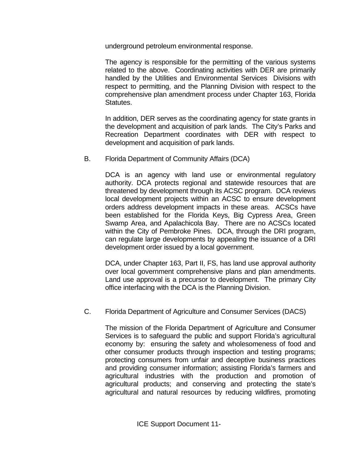underground petroleum environmental response.

 The agency is responsible for the permitting of the various systems related to the above. Coordinating activities with DER are primarily handled by the Utilities and Environmental Services Divisions with respect to permitting, and the Planning Division with respect to the comprehensive plan amendment process under Chapter 163, Florida Statutes.

 In addition, DER serves as the coordinating agency for state grants in the development and acquisition of park lands. The City's Parks and Recreation Department coordinates with DER with respect to development and acquisition of park lands.

B. Florida Department of Community Affairs (DCA)

 DCA is an agency with land use or environmental regulatory authority. DCA protects regional and statewide resources that are threatened by development through its ACSC program. DCA reviews local development projects within an ACSC to ensure development orders address development impacts in these areas. ACSCs have been established for the Florida Keys, Big Cypress Area, Green Swamp Area, and Apalachicola Bay. There are no ACSCs located within the City of Pembroke Pines. DCA, through the DRI program, can regulate large developments by appealing the issuance of a DRI development order issued by a local government.

DCA, under Chapter 163, Part II, FS, has land use approval authority over local government comprehensive plans and plan amendments. Land use approval is a precursor to development. The primary City office interfacing with the DCA is the Planning Division.

C. Florida Department of Agriculture and Consumer Services (DACS)

 The mission of the Florida Department of Agriculture and Consumer Services is to safeguard the public and support Florida's agricultural economy by: ensuring the safety and wholesomeness of food and other consumer products through inspection and testing programs; protecting consumers from unfair and deceptive business practices and providing consumer information; assisting Florida's farmers and agricultural industries with the production and promotion of agricultural products; and conserving and protecting the state's agricultural and natural resources by reducing wildfires, promoting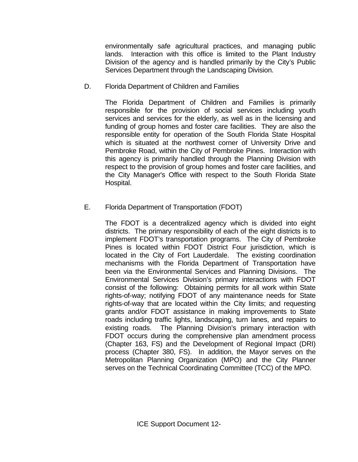environmentally safe agricultural practices, and managing public lands. Interaction with this office is limited to the Plant Industry Division of the agency and is handled primarily by the City's Public Services Department through the Landscaping Division.

D. Florida Department of Children and Families

 The Florida Department of Children and Families is primarily responsible for the provision of social services including youth services and services for the elderly, as well as in the licensing and funding of group homes and foster care facilities. They are also the responsible entity for operation of the South Florida State Hospital which is situated at the northwest corner of University Drive and Pembroke Road, within the City of Pembroke Pines. Interaction with this agency is primarily handled through the Planning Division with respect to the provision of group homes and foster care facilities, and the City Manager's Office with respect to the South Florida State Hospital.

#### E. Florida Department of Transportation (FDOT)

 The FDOT is a decentralized agency which is divided into eight districts. The primary responsibility of each of the eight districts is to implement FDOT's transportation programs. The City of Pembroke Pines is located within FDOT District Four jurisdiction, which is located in the City of Fort Lauderdale. The existing coordination mechanisms with the Florida Department of Transportation have been via the Environmental Services and Planning Divisions. The Environmental Services Division's primary interactions with FDOT consist of the following: Obtaining permits for all work within State rights-of-way; notifying FDOT of any maintenance needs for State rights-of-way that are located within the City limits; and requesting grants and/or FDOT assistance in making improvements to State roads including traffic lights, landscaping, turn lanes, and repairs to existing roads. The Planning Division's primary interaction with FDOT occurs during the comprehensive plan amendment process (Chapter 163, FS) and the Development of Regional Impact (DRI) process (Chapter 380, FS). In addition, the Mayor serves on the Metropolitan Planning Organization (MPO) and the City Planner serves on the Technical Coordinating Committee (TCC) of the MPO.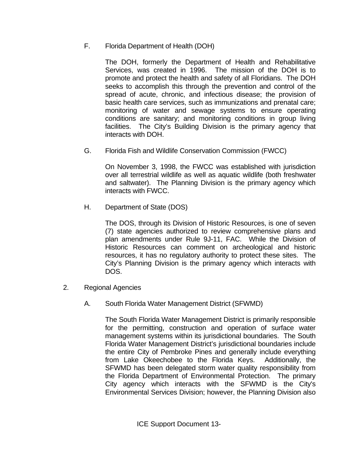F. Florida Department of Health (DOH)

 The DOH, formerly the Department of Health and Rehabilitative Services, was created in 1996. The mission of the DOH is to promote and protect the health and safety of all Floridians. The DOH seeks to accomplish this through the prevention and control of the spread of acute, chronic, and infectious disease; the provision of basic health care services, such as immunizations and prenatal care; monitoring of water and sewage systems to ensure operating conditions are sanitary; and monitoring conditions in group living facilities. The City's Building Division is the primary agency that interacts with DOH.

G. Florida Fish and Wildlife Conservation Commission (FWCC)

On November 3, 1998, the FWCC was established with jurisdiction over all terrestrial wildlife as well as aquatic wildlife (both freshwater and saltwater). The Planning Division is the primary agency which interacts with FWCC.

H. Department of State (DOS)

The DOS, through its Division of Historic Resources, is one of seven (7) state agencies authorized to review comprehensive plans and plan amendments under Rule 9J-11, FAC. While the Division of Historic Resources can comment on archeological and historic resources, it has no regulatory authority to protect these sites. The City's Planning Division is the primary agency which interacts with DOS.

- 2. Regional Agencies
	- A. South Florida Water Management District (SFWMD)

 The South Florida Water Management District is primarily responsible for the permitting, construction and operation of surface water management systems within its jurisdictional boundaries. The South Florida Water Management District's jurisdictional boundaries include the entire City of Pembroke Pines and generally include everything from Lake Okeechobee to the Florida Keys. Additionally, the SFWMD has been delegated storm water quality responsibility from the Florida Department of Environmental Protection. The primary City agency which interacts with the SFWMD is the City's Environmental Services Division; however, the Planning Division also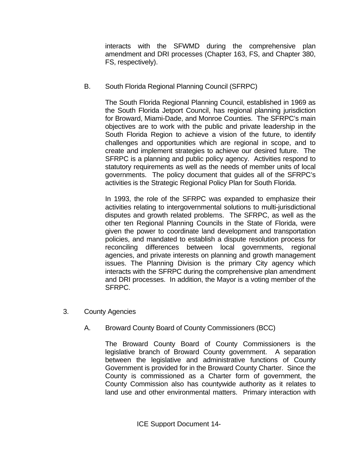interacts with the SFWMD during the comprehensive plan amendment and DRI processes (Chapter 163, FS, and Chapter 380, FS, respectively).

B. South Florida Regional Planning Council (SFRPC)

 The South Florida Regional Planning Council, established in 1969 as the South Florida Jetport Council, has regional planning jurisdiction for Broward, Miami-Dade, and Monroe Counties. The SFRPC's main objectives are to work with the public and private leadership in the South Florida Region to achieve a vision of the future, to identify challenges and opportunities which are regional in scope, and to create and implement strategies to achieve our desired future. The SFRPC is a planning and public policy agency. Activities respond to statutory requirements as well as the needs of member units of local governments. The policy document that guides all of the SFRPC's activities is the Strategic Regional Policy Plan for South Florida.

 In 1993, the role of the SFRPC was expanded to emphasize their activities relating to intergovernmental solutions to multi-jurisdictional disputes and growth related problems. The SFRPC, as well as the other ten Regional Planning Councils in the State of Florida, were given the power to coordinate land development and transportation policies, and mandated to establish a dispute resolution process for reconciling differences between local governments, regional agencies, and private interests on planning and growth management issues. The Planning Division is the primary City agency which interacts with the SFRPC during the comprehensive plan amendment and DRI processes. In addition, the Mayor is a voting member of the SFRPC.

- 3. County Agencies
	- A. Broward County Board of County Commissioners (BCC)

 The Broward County Board of County Commissioners is the legislative branch of Broward County government. A separation between the legislative and administrative functions of County Government is provided for in the Broward County Charter. Since the County is commissioned as a Charter form of government, the County Commission also has countywide authority as it relates to land use and other environmental matters. Primary interaction with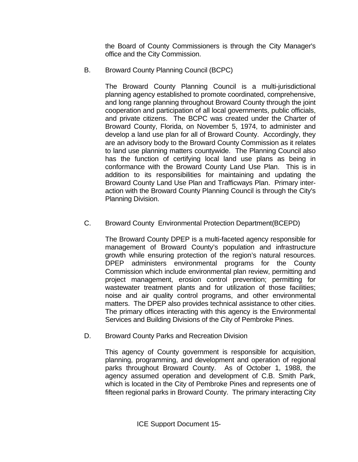the Board of County Commissioners is through the City Manager's office and the City Commission.

B. Broward County Planning Council (BCPC)

 The Broward County Planning Council is a multi-jurisdictional planning agency established to promote coordinated, comprehensive, and long range planning throughout Broward County through the joint cooperation and participation of all local governments, public officials, and private citizens. The BCPC was created under the Charter of Broward County, Florida, on November 5, 1974, to administer and develop a land use plan for all of Broward County. Accordingly, they are an advisory body to the Broward County Commission as it relates to land use planning matters countywide. The Planning Council also has the function of certifying local land use plans as being in conformance with the Broward County Land Use Plan. This is in addition to its responsibilities for maintaining and updating the Broward County Land Use Plan and Trafficways Plan. Primary interaction with the Broward County Planning Council is through the City's Planning Division.

C. Broward County Environmental Protection Department(BCEPD)

The Broward County DPEP is a multi-faceted agency responsible for management of Broward County's population and infrastructure growth while ensuring protection of the region's natural resources. DPEP administers environmental programs for the County Commission which include environmental plan review, permitting and project management, erosion control prevention; permitting for wastewater treatment plants and for utilization of those facilities; noise and air quality control programs, and other environmental matters. The DPEP also provides technical assistance to other cities. The primary offices interacting with this agency is the Environmental Services and Building Divisions of the City of Pembroke Pines.

D. Broward County Parks and Recreation Division

 This agency of County government is responsible for acquisition, planning, programming, and development and operation of regional parks throughout Broward County. As of October 1, 1988, the agency assumed operation and development of C.B. Smith Park, which is located in the City of Pembroke Pines and represents one of fifteen regional parks in Broward County. The primary interacting City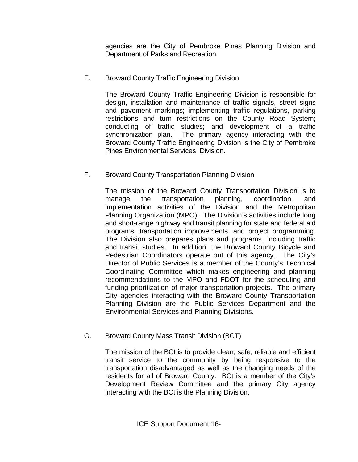agencies are the City of Pembroke Pines Planning Division and Department of Parks and Recreation.

### E. Broward County Traffic Engineering Division

 The Broward County Traffic Engineering Division is responsible for design, installation and maintenance of traffic signals, street signs and pavement markings; implementing traffic regulations, parking restrictions and turn restrictions on the County Road System; conducting of traffic studies; and development of a traffic synchronization plan. The primary agency interacting with the Broward County Traffic Engineering Division is the City of Pembroke Pines Environmental Services Division.

### F. Broward County Transportation Planning Division

The mission of the Broward County Transportation Division is to manage the transportation planning, coordination, and implementation activities of the Division and the Metropolitan Planning Organization (MPO). The Division's activities include long and short-range highway and transit planning for state and federal aid programs, transportation improvements, and project programming. The Division also prepares plans and programs, including traffic and transit studies. In addition, the Broward County Bicycle and Pedestrian Coordinators operate out of this agency. The City's Director of Public Services is a member of the County's Technical Coordinating Committee which makes engineering and planning recommendations to the MPO and FDOT for the scheduling and funding prioritization of major transportation projects. The primary City agencies interacting with the Broward County Transportation Planning Division are the Public Services Department and the Environmental Services and Planning Divisions.

### G. Broward County Mass Transit Division (BCT)

The mission of the BCt is to provide clean, safe, reliable and efficient transit service to the community by being responsive to the transportation disadvantaged as well as the changing needs of the residents for all of Broward County. BCt is a member of the City's Development Review Committee and the primary City agency interacting with the BCt is the Planning Division.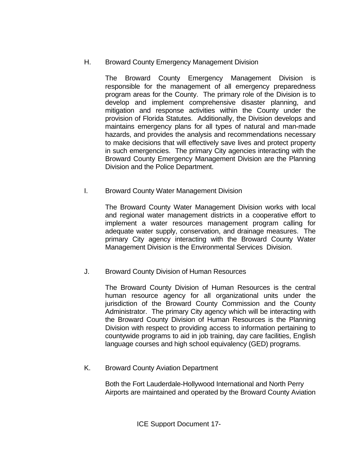H. Broward County Emergency Management Division

The Broward County Emergency Management Division is responsible for the management of all emergency preparedness program areas for the County. The primary role of the Division is to develop and implement comprehensive disaster planning, and mitigation and response activities within the County under the provision of Florida Statutes. Additionally, the Division develops and maintains emergency plans for all types of natural and man-made hazards, and provides the analysis and recommendations necessary to make decisions that will effectively save lives and protect property in such emergencies. The primary City agencies interacting with the Broward County Emergency Management Division are the Planning Division and the Police Department.

I. Broward County Water Management Division

The Broward County Water Management Division works with local and regional water management districts in a cooperative effort to implement a water resources management program calling for adequate water supply, conservation, and drainage measures. The primary City agency interacting with the Broward County Water Management Division is the Environmental Services Division.

J. Broward County Division of Human Resources

The Broward County Division of Human Resources is the central human resource agency for all organizational units under the jurisdiction of the Broward County Commission and the County Administrator. The primary City agency which will be interacting with the Broward County Division of Human Resources is the Planning Division with respect to providing access to information pertaining to countywide programs to aid in job training, day care facilities, English language courses and high school equivalency (GED) programs.

K. Broward County Aviation Department

 Both the Fort Lauderdale-Hollywood International and North Perry Airports are maintained and operated by the Broward County Aviation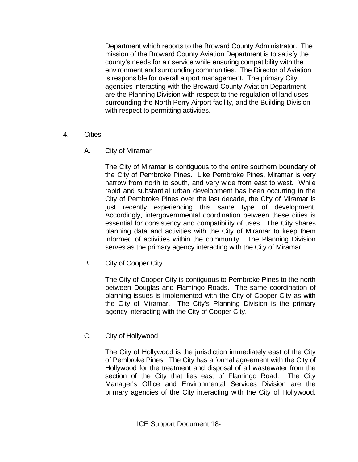Department which reports to the Broward County Administrator. The mission of the Broward County Aviation Department is to satisfy the county's needs for air service while ensuring compatibility with the environment and surrounding communities. The Director of Aviation is responsible for overall airport management. The primary City agencies interacting with the Broward County Aviation Department are the Planning Division with respect to the regulation of land uses surrounding the North Perry Airport facility, and the Building Division with respect to permitting activities.

- 4. Cities
	- A. City of Miramar

 The City of Miramar is contiguous to the entire southern boundary of the City of Pembroke Pines. Like Pembroke Pines, Miramar is very narrow from north to south, and very wide from east to west. While rapid and substantial urban development has been occurring in the City of Pembroke Pines over the last decade, the City of Miramar is just recently experiencing this same type of development. Accordingly, intergovernmental coordination between these cities is essential for consistency and compatibility of uses. The City shares planning data and activities with the City of Miramar to keep them informed of activities within the community. The Planning Division serves as the primary agency interacting with the City of Miramar.

B. City of Cooper City

 The City of Cooper City is contiguous to Pembroke Pines to the north between Douglas and Flamingo Roads. The same coordination of planning issues is implemented with the City of Cooper City as with the City of Miramar. The City's Planning Division is the primary agency interacting with the City of Cooper City.

C. City of Hollywood

 The City of Hollywood is the jurisdiction immediately east of the City of Pembroke Pines. The City has a formal agreement with the City of Hollywood for the treatment and disposal of all wastewater from the section of the City that lies east of Flamingo Road. The City Manager's Office and Environmental Services Division are the primary agencies of the City interacting with the City of Hollywood.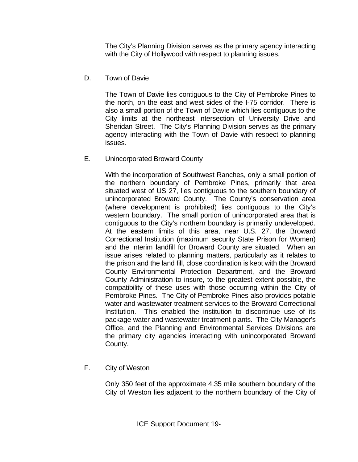The City's Planning Division serves as the primary agency interacting with the City of Hollywood with respect to planning issues.

D. Town of Davie

 The Town of Davie lies contiguous to the City of Pembroke Pines to the north, on the east and west sides of the I-75 corridor. There is also a small portion of the Town of Davie which lies contiguous to the City limits at the northeast intersection of University Drive and Sheridan Street. The City's Planning Division serves as the primary agency interacting with the Town of Davie with respect to planning issues.

#### E. Unincorporated Broward County

 With the incorporation of Southwest Ranches, only a small portion of the northern boundary of Pembroke Pines, primarily that area situated west of US 27, lies contiguous to the southern boundary of unincorporated Broward County. The County's conservation area (where development is prohibited) lies contiguous to the City's western boundary. The small portion of unincorporated area that is contiguous to the City's northern boundary is primarily undeveloped. At the eastern limits of this area, near U.S. 27, the Broward Correctional Institution (maximum security State Prison for Women) and the interim landfill for Broward County are situated. When an issue arises related to planning matters, particularly as it relates to the prison and the land fill, close coordination is kept with the Broward County Environmental Protection Department, and the Broward County Administration to insure, to the greatest extent possible, the compatibility of these uses with those occurring within the City of Pembroke Pines. The City of Pembroke Pines also provides potable water and wastewater treatment services to the Broward Correctional Institution. This enabled the institution to discontinue use of its package water and wastewater treatment plants. The City Manager's Office, and the Planning and Environmental Services Divisions are the primary city agencies interacting with unincorporated Broward County.

F. City of Weston

Only 350 feet of the approximate 4.35 mile southern boundary of the City of Weston lies adjacent to the northern boundary of the City of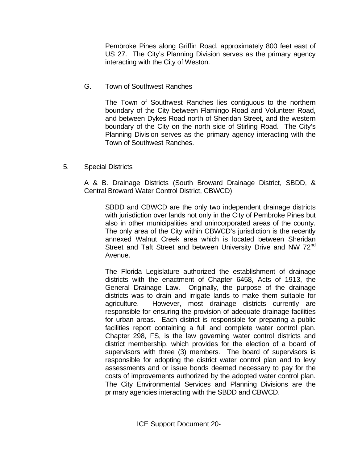Pembroke Pines along Griffin Road, approximately 800 feet east of US 27. The City's Planning Division serves as the primary agency interacting with the City of Weston.

G. Town of Southwest Ranches

The Town of Southwest Ranches lies contiguous to the northern boundary of the City between Flamingo Road and Volunteer Road, and between Dykes Road north of Sheridan Street, and the western boundary of the City on the north side of Stirling Road. The City's Planning Division serves as the primary agency interacting with the Town of Southwest Ranches.

5. Special Districts

A & B. Drainage Districts (South Broward Drainage District, SBDD, & Central Broward Water Control District, CBWCD)

SBDD and CBWCD are the only two independent drainage districts with jurisdiction over lands not only in the City of Pembroke Pines but also in other municipalities and unincorporated areas of the county. The only area of the City within CBWCD's jurisdiction is the recently annexed Walnut Creek area which is located between Sheridan Street and Taft Street and between University Drive and NW 72<sup>nd</sup> Avenue.

The Florida Legislature authorized the establishment of drainage districts with the enactment of Chapter 6458, Acts of 1913, the General Drainage Law. Originally, the purpose of the drainage districts was to drain and irrigate lands to make them suitable for agriculture. However, most drainage districts currently are responsible for ensuring the provision of adequate drainage facilities for urban areas. Each district is responsible for preparing a public facilities report containing a full and complete water control plan. Chapter 298, FS, is the law governing water control districts and district membership, which provides for the election of a board of supervisors with three (3) members. The board of supervisors is responsible for adopting the district water control plan and to levy assessments and or issue bonds deemed necessary to pay for the costs of improvements authorized by the adopted water control plan. The City Environmental Services and Planning Divisions are the primary agencies interacting with the SBDD and CBWCD.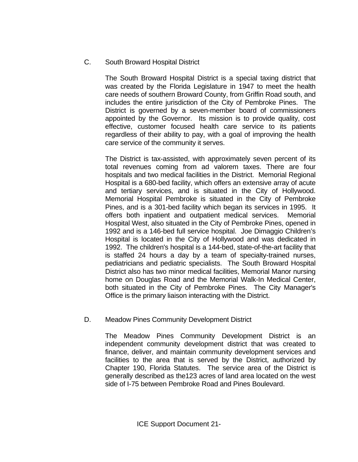#### C. South Broward Hospital District

The South Broward Hospital District is a special taxing district that was created by the Florida Legislature in 1947 to meet the health care needs of southern Broward County, from Griffin Road south, and includes the entire jurisdiction of the City of Pembroke Pines. The District is governed by a seven-member board of commissioners appointed by the Governor. Its mission is to provide quality, cost effective, customer focused health care service to its patients regardless of their ability to pay, with a goal of improving the health care service of the community it serves.

The District is tax-assisted, with approximately seven percent of its total revenues coming from ad valorem taxes. There are four hospitals and two medical facilities in the District. Memorial Regional Hospital is a 680-bed facility, which offers an extensive array of acute and tertiary services, and is situated in the City of Hollywood. Memorial Hospital Pembroke is situated in the City of Pembroke Pines, and is a 301-bed facility which began its services in 1995. It offers both inpatient and outpatient medical services. Memorial Hospital West, also situated in the City of Pembroke Pines, opened in 1992 and is a 146-bed full service hospital. Joe Dimaggio Children's Hospital is located in the City of Hollywood and was dedicated in 1992. The children's hospital is a 144-bed, state-of-the-art facility that is staffed 24 hours a day by a team of specialty-trained nurses, pediatricians and pediatric specialists. The South Broward Hospital District also has two minor medical facilities, Memorial Manor nursing home on Douglas Road and the Memorial Walk-In Medical Center, both situated in the City of Pembroke Pines. The City Manager's Office is the primary liaison interacting with the District.

### D. Meadow Pines Community Development District

The Meadow Pines Community Development District is an independent community development district that was created to finance, deliver, and maintain community development services and facilities to the area that is served by the District, authorized by Chapter 190, Florida Statutes. The service area of the District is generally described as the123 acres of land area located on the west side of I-75 between Pembroke Road and Pines Boulevard.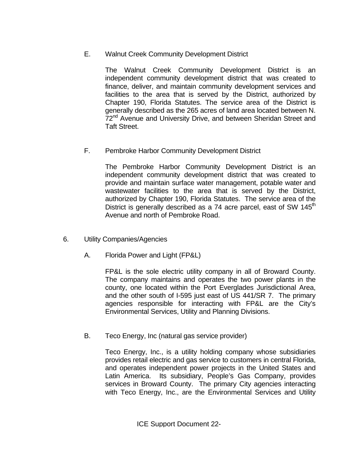E. Walnut Creek Community Development District

The Walnut Creek Community Development District is an independent community development district that was created to finance, deliver, and maintain community development services and facilities to the area that is served by the District, authorized by Chapter 190, Florida Statutes. The service area of the District is generally described as the 265 acres of land area located between N. 72<sup>nd</sup> Avenue and University Drive, and between Sheridan Street and Taft Street.

F. Pembroke Harbor Community Development District

The Pembroke Harbor Community Development District is an independent community development district that was created to provide and maintain surface water management, potable water and wastewater facilities to the area that is served by the District, authorized by Chapter 190, Florida Statutes. The service area of the District is generally described as a 74 acre parcel, east of SW  $145<sup>th</sup>$ Avenue and north of Pembroke Road.

- 6. Utility Companies/Agencies
	- A. Florida Power and Light (FP&L)

 FP&L is the sole electric utility company in all of Broward County. The company maintains and operates the two power plants in the county, one located within the Port Everglades Jurisdictional Area, and the other south of I-595 just east of US 441/SR 7. The primary agencies responsible for interacting with FP&L are the City's Environmental Services, Utility and Planning Divisions.

B. Teco Energy, Inc (natural gas service provider)

 Teco Energy, Inc., is a utility holding company whose subsidiaries provides retail electric and gas service to customers in central Florida, and operates independent power projects in the United States and Latin America. Its subsidiary, People's Gas Company, provides services in Broward County. The primary City agencies interacting with Teco Energy, Inc., are the Environmental Services and Utility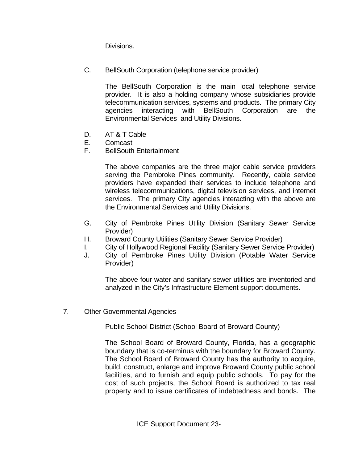Divisions.

C. BellSouth Corporation (telephone service provider)

 The BellSouth Corporation is the main local telephone service provider. It is also a holding company whose subsidiaries provide telecommunication services, systems and products. The primary City agencies interacting with BellSouth Corporation are the Environmental Services and Utility Divisions.

- D. AT & T Cable
- E. Comcast
- F. BellSouth Entertainment

The above companies are the three major cable service providers serving the Pembroke Pines community. Recently, cable service providers have expanded their services to include telephone and wireless telecommunications, digital television services, and internet services. The primary City agencies interacting with the above are the Environmental Services and Utility Divisions.

- G. City of Pembroke Pines Utility Division (Sanitary Sewer Service Provider)
- H. Broward County Utilities (Sanitary Sewer Service Provider)
- I. City of Hollywood Regional Facility (Sanitary Sewer Service Provider)
- J. City of Pembroke Pines Utility Division (Potable Water Service Provider)

The above four water and sanitary sewer utilities are inventoried and analyzed in the City's Infrastructure Element support documents.

7. Other Governmental Agencies

Public School District (School Board of Broward County)

The School Board of Broward County, Florida, has a geographic boundary that is co-terminus with the boundary for Broward County. The School Board of Broward County has the authority to acquire, build, construct, enlarge and improve Broward County public school facilities, and to furnish and equip public schools. To pay for the cost of such projects, the School Board is authorized to tax real property and to issue certificates of indebtedness and bonds. The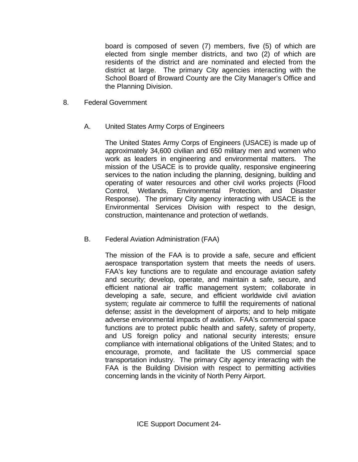board is composed of seven (7) members, five (5) of which are elected from single member districts, and two (2) of which are residents of the district and are nominated and elected from the district at large. The primary City agencies interacting with the School Board of Broward County are the City Manager's Office and the Planning Division.

- 8. Federal Government
	- A. United States Army Corps of Engineers

The United States Army Corps of Engineers (USACE) is made up of approximately 34,600 civilian and 650 military men and women who work as leaders in engineering and environmental matters. The mission of the USACE is to provide quality, responsive engineering services to the nation including the planning, designing, building and operating of water resources and other civil works projects (Flood Control, Wetlands, Environmental Protection, and Disaster Response). The primary City agency interacting with USACE is the Environmental Services Division with respect to the design, construction, maintenance and protection of wetlands.

B. Federal Aviation Administration (FAA)

The mission of the FAA is to provide a safe, secure and efficient aerospace transportation system that meets the needs of users. FAA's key functions are to regulate and encourage aviation safety and security; develop, operate, and maintain a safe, secure, and efficient national air traffic management system; collaborate in developing a safe, secure, and efficient worldwide civil aviation system; regulate air commerce to fulfill the requirements of national defense; assist in the development of airports; and to help mitigate adverse environmental impacts of aviation. FAA's commercial space functions are to protect public health and safety, safety of property, and US foreign policy and national security interests; ensure compliance with international obligations of the United States; and to encourage, promote, and facilitate the US commercial space transportation industry. The primary City agency interacting with the FAA is the Building Division with respect to permitting activities concerning lands in the vicinity of North Perry Airport.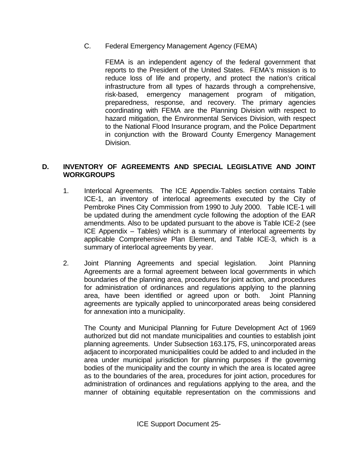C. Federal Emergency Management Agency (FEMA)

FEMA is an independent agency of the federal government that reports to the President of the United States. FEMA's mission is to reduce loss of life and property, and protect the nation's critical infrastructure from all types of hazards through a comprehensive, risk-based, emergency management program of mitigation, preparedness, response, and recovery. The primary agencies coordinating with FEMA are the Planning Division with respect to hazard mitigation, the Environmental Services Division, with respect to the National Flood Insurance program, and the Police Department in conjunction with the Broward County Emergency Management Division.

#### **D. INVENTORY OF AGREEMENTS AND SPECIAL LEGISLATIVE AND JOINT WORKGROUPS**

- 1. Interlocal Agreements. The ICE Appendix-Tables section contains Table ICE-1, an inventory of interlocal agreements executed by the City of Pembroke Pines City Commission from 1990 to July 2000. Table ICE-1 will be updated during the amendment cycle following the adoption of the EAR amendments. Also to be updated pursuant to the above is Table ICE-2 (see ICE Appendix – Tables) which is a summary of interlocal agreements by applicable Comprehensive Plan Element, and Table ICE-3, which is a summary of interlocal agreements by year.
- 2. Joint Planning Agreements and special legislation. Joint Planning Agreements are a formal agreement between local governments in which boundaries of the planning area, procedures for joint action, and procedures for administration of ordinances and regulations applying to the planning area, have been identified or agreed upon or both. Joint Planning agreements are typically applied to unincorporated areas being considered for annexation into a municipality.

The County and Municipal Planning for Future Development Act of 1969 authorized but did not mandate municipalities and counties to establish joint planning agreements. Under Subsection 163.175, FS, unincorporated areas adjacent to incorporated municipalities could be added to and included in the area under municipal jurisdiction for planning purposes if the governing bodies of the municipality and the county in which the area is located agree as to the boundaries of the area, procedures for joint action, procedures for administration of ordinances and regulations applying to the area, and the manner of obtaining equitable representation on the commissions and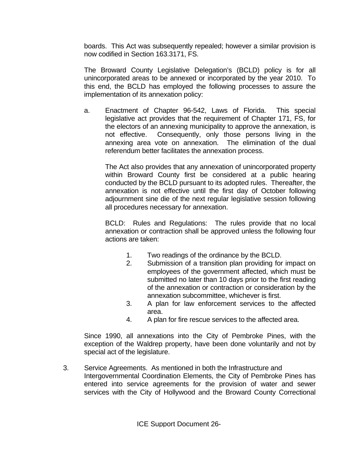boards. This Act was subsequently repealed; however a similar provision is now codified in Section 163.3171, FS.

 The Broward County Legislative Delegation's (BCLD) policy is for all unincorporated areas to be annexed or incorporated by the year 2010. To this end, the BCLD has employed the following processes to assure the implementation of its annexation policy:

a. Enactment of Chapter 96-542, Laws of Florida. This special legislative act provides that the requirement of Chapter 171, FS, for the electors of an annexing municipality to approve the annexation, is not effective. Consequently, only those persons living in the annexing area vote on annexation. The elimination of the dual referendum better facilitates the annexation process.

The Act also provides that any annexation of unincorporated property within Broward County first be considered at a public hearing conducted by the BCLD pursuant to its adopted rules. Thereafter, the annexation is not effective until the first day of October following adjournment sine die of the next regular legislative session following all procedures necessary for annexation.

BCLD: Rules and Regulations: The rules provide that no local annexation or contraction shall be approved unless the following four actions are taken:

- 1. Two readings of the ordinance by the BCLD.
- 2. Submission of a transition plan providing for impact on employees of the government affected, which must be submitted no later than 10 days prior to the first reading of the annexation or contraction or consideration by the annexation subcommittee, whichever is first.
- 3. A plan for law enforcement services to the affected area.
- 4. A plan for fire rescue services to the affected area.

Since 1990, all annexations into the City of Pembroke Pines, with the exception of the Waldrep property, have been done voluntarily and not by special act of the legislature.

3. Service Agreements. As mentioned in both the Infrastructure and Intergovernmental Coordination Elements, the City of Pembroke Pines has entered into service agreements for the provision of water and sewer services with the City of Hollywood and the Broward County Correctional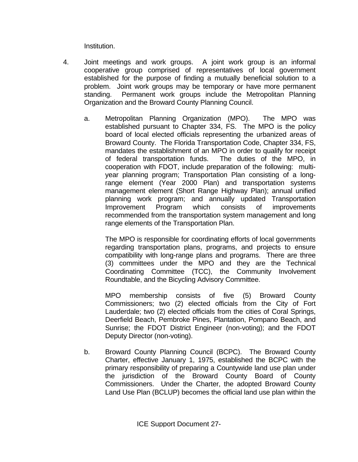Institution.

- 4. Joint meetings and work groups. A joint work group is an informal cooperative group comprised of representatives of local government established for the purpose of finding a mutually beneficial solution to a problem. Joint work groups may be temporary or have more permanent standing. Permanent work groups include the Metropolitan Planning Organization and the Broward County Planning Council.
	- a. Metropolitan Planning Organization (MPO). The MPO was established pursuant to Chapter 334, FS. The MPO is the policy board of local elected officials representing the urbanized areas of Broward County. The Florida Transportation Code, Chapter 334, FS, mandates the establishment of an MPO in order to qualify for receipt of federal transportation funds. The duties of the MPO, in cooperation with FDOT, include preparation of the following: multiyear planning program; Transportation Plan consisting of a longrange element (Year 2000 Plan) and transportation systems management element (Short Range Highway Plan); annual unified planning work program; and annually updated Transportation Improvement Program which consists of improvements recommended from the transportation system management and long range elements of the Transportation Plan.

The MPO is responsible for coordinating efforts of local governments regarding transportation plans, programs, and projects to ensure compatibility with long-range plans and programs. There are three (3) committees under the MPO and they are the Technical Coordinating Committee (TCC), the Community Involvement Roundtable, and the Bicycling Advisory Committee.

MPO membership consists of five (5) Broward County Commissioners; two (2) elected officials from the City of Fort Lauderdale; two (2) elected officials from the cities of Coral Springs, Deerfield Beach, Pembroke Pines, Plantation, Pompano Beach, and Sunrise; the FDOT District Engineer (non-voting); and the FDOT Deputy Director (non-voting).

b. Broward County Planning Council (BCPC). The Broward County Charter, effective January 1, 1975, established the BCPC with the primary responsibility of preparing a Countywide land use plan under the jurisdiction of the Broward County Board of County Commissioners. Under the Charter, the adopted Broward County Land Use Plan (BCLUP) becomes the official land use plan within the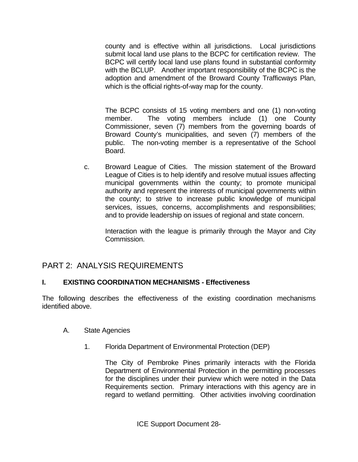county and is effective within all jurisdictions. Local jurisdictions submit local land use plans to the BCPC for certification review. The BCPC will certify local land use plans found in substantial conformity with the BCLUP. Another important responsibility of the BCPC is the adoption and amendment of the Broward County Trafficways Plan, which is the official rights-of-way map for the county.

 The BCPC consists of 15 voting members and one (1) non-voting member. The voting members include (1) one County Commissioner, seven (7) members from the governing boards of Broward County's municipalities, and seven (7) members of the public. The non-voting member is a representative of the School Board.

c. Broward League of Cities. The mission statement of the Broward League of Cities is to help identify and resolve mutual issues affecting municipal governments within the county; to promote municipal authority and represent the interests of municipal governments within the county; to strive to increase public knowledge of municipal services, issues, concerns, accomplishments and responsibilities; and to provide leadership on issues of regional and state concern.

Interaction with the league is primarily through the Mayor and City Commission.

## PART 2: ANALYSIS REQUIREMENTS

#### **I. EXISTING COORDINATION MECHANISMS - Effectiveness**

The following describes the effectiveness of the existing coordination mechanisms identified above.

- A. State Agencies
	- 1. Florida Department of Environmental Protection (DEP)

 The City of Pembroke Pines primarily interacts with the Florida Department of Environmental Protection in the permitting processes for the disciplines under their purview which were noted in the Data Requirements section. Primary interactions with this agency are in regard to wetland permitting. Other activities involving coordination

ICE Support Document 28-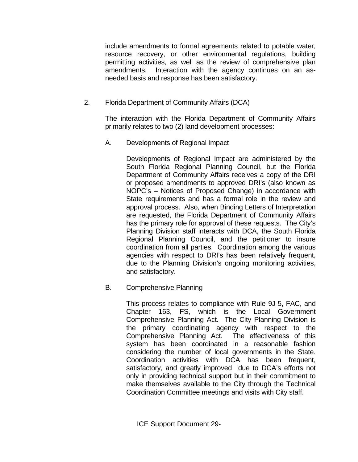include amendments to formal agreements related to potable water, resource recovery, or other environmental regulations, building permitting activities, as well as the review of comprehensive plan amendments. Interaction with the agency continues on an asneeded basis and response has been satisfactory.

2. Florida Department of Community Affairs (DCA)

 The interaction with the Florida Department of Community Affairs primarily relates to two (2) land development processes:

A. Developments of Regional Impact

Developments of Regional Impact are administered by the South Florida Regional Planning Council, but the Florida Department of Community Affairs receives a copy of the DRI or proposed amendments to approved DRI's (also known as NOPC's – Notices of Proposed Change) in accordance with State requirements and has a formal role in the review and approval process. Also, when Binding Letters of Interpretation are requested, the Florida Department of Community Affairs has the primary role for approval of these requests. The City's Planning Division staff interacts with DCA, the South Florida Regional Planning Council, and the petitioner to insure coordination from all parties. Coordination among the various agencies with respect to DRI's has been relatively frequent, due to the Planning Division's ongoing monitoring activities, and satisfactory.

B. Comprehensive Planning

 This process relates to compliance with Rule 9J-5, FAC, and Chapter 163, FS, which is the Local Government Comprehensive Planning Act. The City Planning Division is the primary coordinating agency with respect to the Comprehensive Planning Act. The effectiveness of this system has been coordinated in a reasonable fashion considering the number of local governments in the State. Coordination activities with DCA has been frequent, satisfactory, and greatly improved due to DCA's efforts not only in providing technical support but in their commitment to make themselves available to the City through the Technical Coordination Committee meetings and visits with City staff.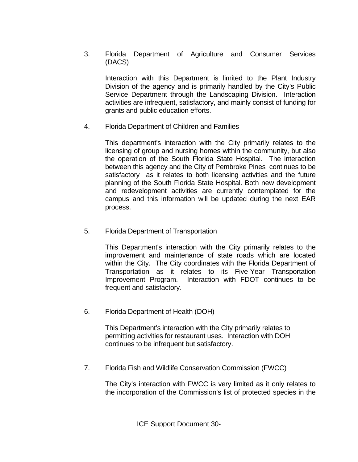3. Florida Department of Agriculture and Consumer Services (DACS)

 Interaction with this Department is limited to the Plant Industry Division of the agency and is primarily handled by the City's Public Service Department through the Landscaping Division. Interaction activities are infrequent, satisfactory, and mainly consist of funding for grants and public education efforts.

4. Florida Department of Children and Families

 This department's interaction with the City primarily relates to the licensing of group and nursing homes within the community, but also the operation of the South Florida State Hospital. The interaction between this agency and the City of Pembroke Pines continues to be satisfactory as it relates to both licensing activities and the future planning of the South Florida State Hospital. Both new development and redevelopment activities are currently contemplated for the campus and this information will be updated during the next EAR process.

5. Florida Department of Transportation

 This Department's interaction with the City primarily relates to the improvement and maintenance of state roads which are located within the City. The City coordinates with the Florida Department of Transportation as it relates to its Five-Year Transportation Improvement Program. Interaction with FDOT continues to be frequent and satisfactory.

6. Florida Department of Health (DOH)

 This Department's interaction with the City primarily relates to permitting activities for restaurant uses. Interaction with DOH continues to be infrequent but satisfactory.

7. Florida Fish and Wildlife Conservation Commission (FWCC)

The City's interaction with FWCC is very limited as it only relates to the incorporation of the Commission's list of protected species in the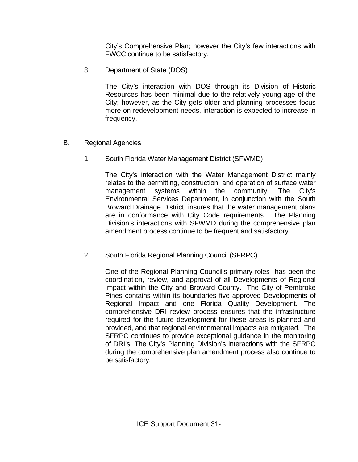City's Comprehensive Plan; however the City's few interactions with FWCC continue to be satisfactory.

8. Department of State (DOS)

The City's interaction with DOS through its Division of Historic Resources has been minimal due to the relatively young age of the City; however, as the City gets older and planning processes focus more on redevelopment needs, interaction is expected to increase in frequency.

- B. Regional Agencies
	- 1. South Florida Water Management District (SFWMD)

 The City's interaction with the Water Management District mainly relates to the permitting, construction, and operation of surface water management systems within the community. The City's Environmental Services Department, in conjunction with the South Broward Drainage District, insures that the water management plans are in conformance with City Code requirements. The Planning Division's interactions with SFWMD during the comprehensive plan amendment process continue to be frequent and satisfactory.

2. South Florida Regional Planning Council (SFRPC)

 One of the Regional Planning Council's primary roles has been the coordination, review, and approval of all Developments of Regional Impact within the City and Broward County. The City of Pembroke Pines contains within its boundaries five approved Developments of Regional Impact and one Florida Quality Development. The comprehensive DRI review process ensures that the infrastructure required for the future development for these areas is planned and provided, and that regional environmental impacts are mitigated. The SFRPC continues to provide exceptional guidance in the monitoring of DRI's. The City's Planning Division's interactions with the SFRPC during the comprehensive plan amendment process also continue to be satisfactory.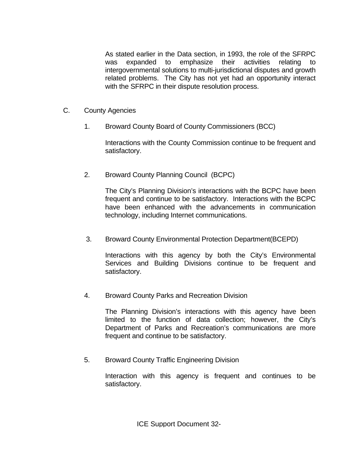As stated earlier in the Data section, in 1993, the role of the SFRPC was expanded to emphasize their activities relating to intergovernmental solutions to multi-jurisdictional disputes and growth related problems. The City has not yet had an opportunity interact with the SFRPC in their dispute resolution process.

- C. County Agencies
	- 1. Broward County Board of County Commissioners (BCC)

 Interactions with the County Commission continue to be frequent and satisfactory.

2. Broward County Planning Council (BCPC)

 The City's Planning Division's interactions with the BCPC have been frequent and continue to be satisfactory. Interactions with the BCPC have been enhanced with the advancements in communication technology, including Internet communications.

3. Broward County Environmental Protection Department(BCEPD)

 Interactions with this agency by both the City's Environmental Services and Building Divisions continue to be frequent and satisfactory.

4. Broward County Parks and Recreation Division

 The Planning Division's interactions with this agency have been limited to the function of data collection; however, the City's Department of Parks and Recreation's communications are more frequent and continue to be satisfactory.

5. Broward County Traffic Engineering Division

 Interaction with this agency is frequent and continues to be satisfactory.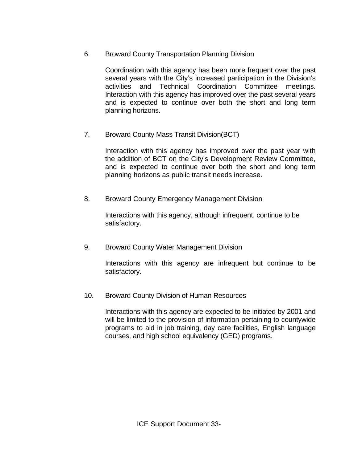6. Broward County Transportation Planning Division

 Coordination with this agency has been more frequent over the past several years with the City's increased participation in the Division's activities and Technical Coordination Committee meetings. Interaction with this agency has improved over the past several years and is expected to continue over both the short and long term planning horizons.

7. Broward County Mass Transit Division(BCT)

 Interaction with this agency has improved over the past year with the addition of BCT on the City's Development Review Committee, and is expected to continue over both the short and long term planning horizons as public transit needs increase.

8. Broward County Emergency Management Division

Interactions with this agency, although infrequent, continue to be satisfactory.

9. Broward County Water Management Division

Interactions with this agency are infrequent but continue to be satisfactory.

10. Broward County Division of Human Resources

Interactions with this agency are expected to be initiated by 2001 and will be limited to the provision of information pertaining to countywide programs to aid in job training, day care facilities, English language courses, and high school equivalency (GED) programs.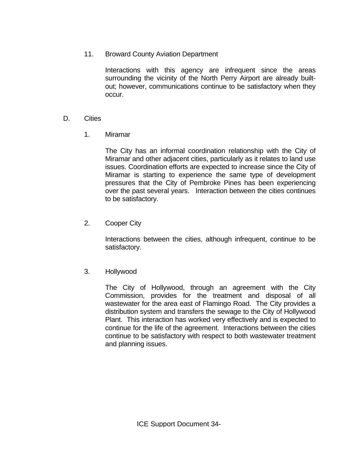11. Broward County Aviation Department

Interactions with this agency are infrequent since the areas surrounding the vicinity of the North Perry Airport are already builtout; however, communications continue to be satisfactory when they occur.

- D. Cities
	- 1. Miramar

 The City has an informal coordination relationship with the City of Miramar and other adjacent cities, particularly as it relates to land use issues. Coordination efforts are expected to increase since the City of Miramar is starting to experience the same type of development pressures that the City of Pembroke Pines has been experiencing over the past several years. Interaction between the cities continues to be satisfactory.

2. Cooper City

 Interactions between the cities, although infrequent, continue to be satisfactory.

3. Hollywood

 The City of Hollywood, through an agreement with the City Commission, provides for the treatment and disposal of all wastewater for the area east of Flamingo Road. The City provides a distribution system and transfers the sewage to the City of Hollywood Plant. This interaction has worked very effectively and is expected to continue for the life of the agreement. Interactions between the cities continue to be satisfactory with respect to both wastewater treatment and planning issues.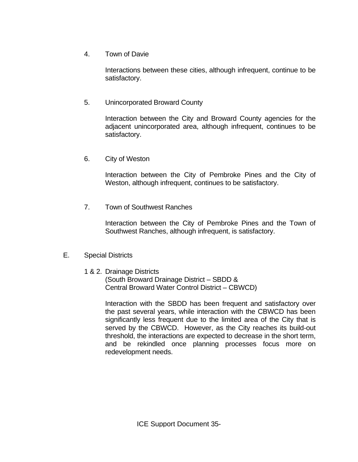4. Town of Davie

Interactions between these cities, although infrequent, continue to be satisfactory.

5. Unincorporated Broward County

Interaction between the City and Broward County agencies for the adjacent unincorporated area, although infrequent, continues to be satisfactory.

6. City of Weston

Interaction between the City of Pembroke Pines and the City of Weston, although infrequent, continues to be satisfactory.

7. Town of Southwest Ranches

Interaction between the City of Pembroke Pines and the Town of Southwest Ranches, although infrequent, is satisfactory.

#### E. Special Districts

1 & 2. Drainage Districts

 (South Broward Drainage District – SBDD & Central Broward Water Control District – CBWCD)

 Interaction with the SBDD has been frequent and satisfactory over the past several years, while interaction with the CBWCD has been significantly less frequent due to the limited area of the City that is served by the CBWCD. However, as the City reaches its build-out threshold, the interactions are expected to decrease in the short term, and be rekindled once planning processes focus more on redevelopment needs.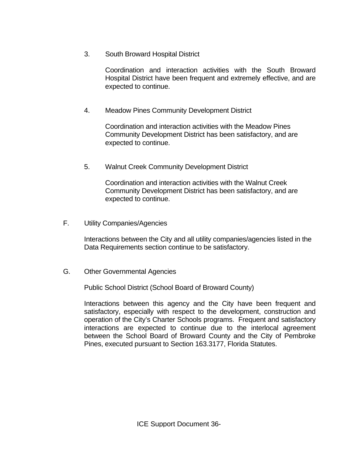3. South Broward Hospital District

 Coordination and interaction activities with the South Broward Hospital District have been frequent and extremely effective, and are expected to continue.

4. Meadow Pines Community Development District

 Coordination and interaction activities with the Meadow Pines Community Development District has been satisfactory, and are expected to continue.

5. Walnut Creek Community Development District

 Coordination and interaction activities with the Walnut Creek Community Development District has been satisfactory, and are expected to continue.

F. Utility Companies/Agencies

 Interactions between the City and all utility companies/agencies listed in the Data Requirements section continue to be satisfactory.

G. Other Governmental Agencies

Public School District (School Board of Broward County)

Interactions between this agency and the City have been frequent and satisfactory, especially with respect to the development, construction and operation of the City's Charter Schools programs. Frequent and satisfactory interactions are expected to continue due to the interlocal agreement between the School Board of Broward County and the City of Pembroke Pines, executed pursuant to Section 163.3177, Florida Statutes.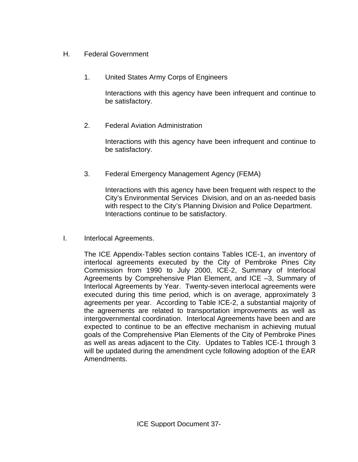- H. Federal Government
	- 1. United States Army Corps of Engineers

Interactions with this agency have been infrequent and continue to be satisfactory.

2. Federal Aviation Administration

Interactions with this agency have been infrequent and continue to be satisfactory.

3. Federal Emergency Management Agency (FEMA)

Interactions with this agency have been frequent with respect to the City's Environmental Services Division, and on an as-needed basis with respect to the City's Planning Division and Police Department. Interactions continue to be satisfactory.

I. Interlocal Agreements.

The ICE Appendix-Tables section contains Tables ICE-1, an inventory of interlocal agreements executed by the City of Pembroke Pines City Commission from 1990 to July 2000, ICE-2, Summary of Interlocal Agreements by Comprehensive Plan Element, and ICE –3, Summary of Interlocal Agreements by Year. Twenty-seven interlocal agreements were executed during this time period, which is on average, approximately 3 agreements per year. According to Table ICE-2, a substantial majority of the agreements are related to transportation improvements as well as intergovernmental coordination. Interlocal Agreements have been and are expected to continue to be an effective mechanism in achieving mutual goals of the Comprehensive Plan Elements of the City of Pembroke Pines as well as areas adjacent to the City. Updates to Tables ICE-1 through 3 will be updated during the amendment cycle following adoption of the EAR Amendments.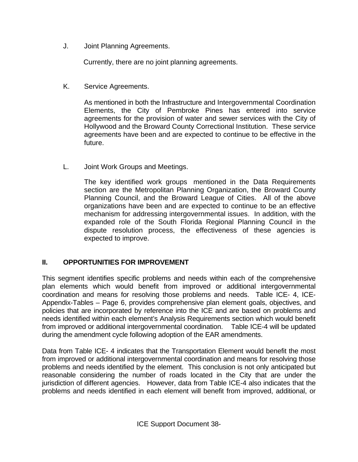J. Joint Planning Agreements.

Currently, there are no joint planning agreements.

K. Service Agreements.

As mentioned in both the Infrastructure and Intergovernmental Coordination Elements, the City of Pembroke Pines has entered into service agreements for the provision of water and sewer services with the City of Hollywood and the Broward County Correctional Institution. These service agreements have been and are expected to continue to be effective in the future.

L. Joint Work Groups and Meetings.

The key identified work groups mentioned in the Data Requirements section are the Metropolitan Planning Organization, the Broward County Planning Council, and the Broward League of Cities. All of the above organizations have been and are expected to continue to be an effective mechanism for addressing intergovernmental issues. In addition, with the expanded role of the South Florida Regional Planning Council in the dispute resolution process, the effectiveness of these agencies is expected to improve.

#### **II. OPPORTUNITIES FOR IMPROVEMENT**

This segment identifies specific problems and needs within each of the comprehensive plan elements which would benefit from improved or additional intergovernmental coordination and means for resolving those problems and needs. Table ICE- 4, ICE-Appendix-Tables – Page 6, provides comprehensive plan element goals, objectives, and policies that are incorporated by reference into the ICE and are based on problems and needs identified within each element's Analysis Requirements section which would benefit from improved or additional intergovernmental coordination. Table ICE-4 will be updated during the amendment cycle following adoption of the EAR amendments.

Data from Table ICE- 4 indicates that the Transportation Element would benefit the most from improved or additional intergovernmental coordination and means for resolving those problems and needs identified by the element. This conclusion is not only anticipated but reasonable considering the number of roads located in the City that are under the jurisdiction of different agencies. However, data from Table ICE-4 also indicates that the problems and needs identified in each element will benefit from improved, additional, or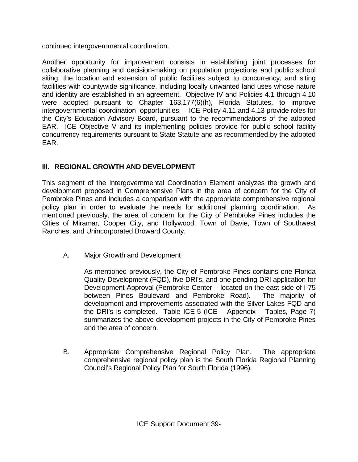continued intergovernmental coordination.

Another opportunity for improvement consists in establishing joint processes for collaborative planning and decision-making on population projections and public school siting, the location and extension of public facilities subject to concurrency, and siting facilities with countywide significance, including locally unwanted land uses whose nature and identity are established in an agreement. Objective IV and Policies 4.1 through 4.10 were adopted pursuant to Chapter 163.177(6)(h), Florida Statutes, to improve intergovernmental coordination opportunities. ICE Policy 4.11 and 4.13 provide roles for the City's Education Advisory Board, pursuant to the recommendations of the adopted EAR. ICE Objective V and its implementing policies provide for public school facility concurrency requirements pursuant to State Statute and as recommended by the adopted EAR.

## **III. REGIONAL GROWTH AND DEVELOPMENT**

This segment of the Intergovernmental Coordination Element analyzes the growth and development proposed in Comprehensive Plans in the area of concern for the City of Pembroke Pines and includes a comparison with the appropriate comprehensive regional policy plan in order to evaluate the needs for additional planning coordination. As mentioned previously, the area of concern for the City of Pembroke Pines includes the Cities of Miramar, Cooper City, and Hollywood, Town of Davie, Town of Southwest Ranches, and Unincorporated Broward County.

A. Major Growth and Development

 As mentioned previously, the City of Pembroke Pines contains one Florida Quality Development (FQD), five DRI's, and one pending DRI application for Development Approval (Pembroke Center – located on the east side of I-75 between Pines Boulevard and Pembroke Road). The majority of development and improvements associated with the Silver Lakes FQD and the DRI's is completed. Table ICE-5 (ICE  $-$  Appendix  $-$  Tables, Page 7) summarizes the above development projects in the City of Pembroke Pines and the area of concern.

B. Appropriate Comprehensive Regional Policy Plan. The appropriate comprehensive regional policy plan is the South Florida Regional Planning Council's Regional Policy Plan for South Florida (1996).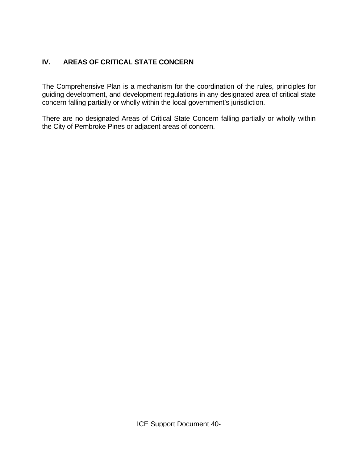### **IV. AREAS OF CRITICAL STATE CONCERN**

The Comprehensive Plan is a mechanism for the coordination of the rules, principles for guiding development, and development regulations in any designated area of critical state concern falling partially or wholly within the local government's jurisdiction.

There are no designated Areas of Critical State Concern falling partially or wholly within the City of Pembroke Pines or adjacent areas of concern.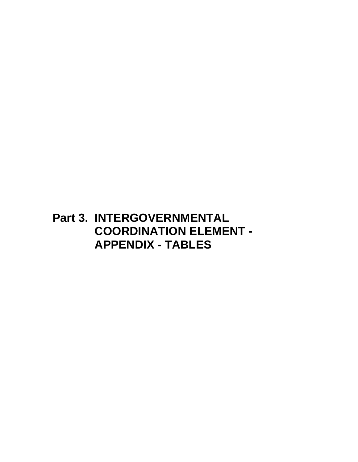# **Part 3. INTERGOVERNMENTAL COORDINATION ELEMENT - APPENDIX - TABLES**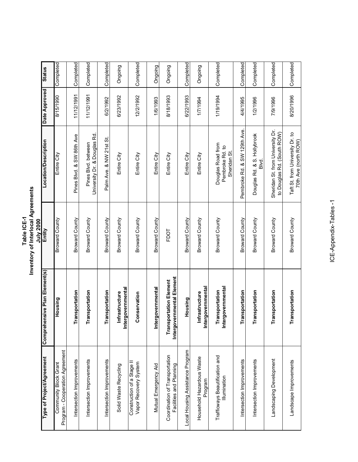| Table ICE-1 | nventory of Interlocal Agreements | חממל ייויי |
|-------------|-----------------------------------|------------|
|             |                                   |            |

|                                                           |                                                            | July 2000             |                                                                |               |               |
|-----------------------------------------------------------|------------------------------------------------------------|-----------------------|----------------------------------------------------------------|---------------|---------------|
| Type of Project/Agreement                                 | ensive Plan Element(s)<br>Compreh                          | Entity                | Location/Description                                           | Date Approved | <b>Status</b> |
| Program - Cooperation Agreement<br>Community Block Grant  | Housing                                                    | Broward County        | Entire City                                                    | 0661/91/8     | Completed     |
| Intersection Improvements                                 | ransportation                                              | Broward County        | Pines Blvd. & SW 86th Ave                                      | 11/12/1991    | Completed     |
| Intersection Improvements                                 | ransportation                                              | <b>Broward County</b> | University Dr. & Douglas Rd.<br>Pines Blvd. between            | 11/12/1991    | Completed     |
| Intersection Improvements                                 | <b>ransportation</b>                                       | Broward County        | Palm Ave. & NW 21st St.                                        | 6/2/1992      | Completed     |
| Solid Waste Recycling                                     | Intergovernmental<br>Infrastructure                        | Broward County        | Entire City                                                    | 6/23/1992     | Ongoing       |
| Construction of a Stage II<br>Vapor Recovery System       | Conservation                                               | <b>Broward County</b> | Entire City                                                    | 12/2/1992     | Completed     |
| Mutual Emergency Aid                                      | Intergovernmental                                          | Broward County        | Entire City                                                    | 1/6/1993      | Ongoing       |
| Coordination of Transportation<br>Facilities and Planning | Intergovernmental Element<br><b>Transportation Element</b> | FDOT                  | Entire City                                                    | 8/18/1993     | Ongoing       |
| Local Housing Assistance Program                          | Housing                                                    | Broward County        | Entire City                                                    | 6/22/1993     | Completed     |
| Household Hazardous Waste<br>Program                      | <u>Intergovernmental</u><br>Infrastructure                 | Broward County        | Entire City                                                    | 1/7/1994      | Ongoing       |
| Trafficways Beautification and<br>Illumination            | Intergovernmental<br>Transportation                        | Broward County        | Douglas Road from<br>Pembroke Rd. to<br>Sheridan St.           | 1/19/1994     | Completed     |
| Intersection Improvements                                 | ransportation                                              | <b>Broward County</b> | Pembroke Rd. & SW 129th Ave.                                   | 4/4/1995      | Completed     |
| Intersection Improvements                                 | ransportation                                              | Broward County        | Douglas Rd. & S. Hollybrook<br>Blvd.                           | 1/2/1996      | Completed     |
| Landscaping Development                                   | ransportation                                              | Broward County        | Sheridan St. from University Dr.<br>to Douglas Rd. (South ROW) | 7/9/1996      | Completed     |
| Landscape Improvements                                    | ransportation                                              | Broward County        | Taft St. from University Dr. to<br>70th Ave (north ROW)        | 8/20/1996     | Completed     |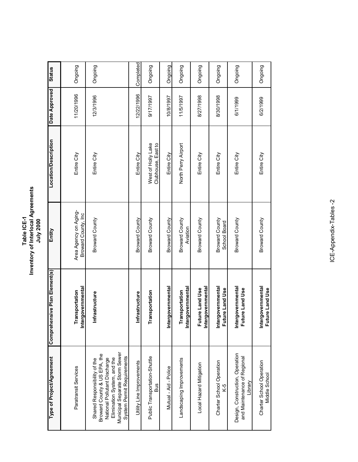**Table ICE-1 Inventory of Interlocal Agreements** Table ICE-1<br>Inventory of Interlocal Agreements<br>July 2000

| Type of Project/Agreement                                                                                                                                                                   | Comprehensive Plan Element(s)               | Entity                                       | <b>Location/Description</b>              | Date Approved | <b>Status</b> |
|---------------------------------------------------------------------------------------------------------------------------------------------------------------------------------------------|---------------------------------------------|----------------------------------------------|------------------------------------------|---------------|---------------|
| Paratransit Services                                                                                                                                                                        | Intergovernmental<br>Transportation         | Area Agency on Aging-<br>Broward County, Inc | Entire City                              | 11/20/1996    | Ongoing       |
| Municipal Separate Storm Sewer<br>Broward County & US EPA, the<br>System Permit Requirements<br>Elimination System, and the<br>Shared Responsibility of the<br>National Pollutant Discharge | Infrastructure                              | Broward County                               | Entire City                              | 12/3/1996     | Ongoing       |
| Utility Line Improvements                                                                                                                                                                   | nfrastructure                               | Broward County                               | Entire City                              | 12/22/1996    | Completed     |
| Public Transportation-Shuttle<br><b>Bus</b>                                                                                                                                                 | Transportation                              | Broward County                               | West of Holly Lake<br>Clubhouse, East to | 1661/11/0     | Ongoing       |
| Mutual - Aid - Police                                                                                                                                                                       | rgovernmental<br>etal                       | <b>Broward County</b>                        | Entire City                              | 10/8/1997     | Ongoing       |
| Landscaping Improvements                                                                                                                                                                    | <u>Intergovernmental</u><br>Transportation  | Broward County<br>Aviation                   | North Perry Airport                      | 11/5/1997     | Ongoing       |
| Local Hazard Mitigation                                                                                                                                                                     | <u>Intergovernmental</u><br>Future Land Use | <b>Broward County</b>                        | Entire City                              | 8/27/1998     | Ongoing       |
| Charter School Operation<br>$K-5$                                                                                                                                                           | Intergovernmental<br>Future Land Use        | Broward County<br>School Board               | Entire City                              | 8/30/1998     | Ongoing       |
| Design, Construction, Operation<br>and Maintenance of Regional<br>Library                                                                                                                   | Intergovernmental<br>Future Land Use        | Broward County                               | Entire City                              | 6/1/1999      | Ongoing       |
| Charter School Operation<br>Middle School                                                                                                                                                   | Intergovernmental<br>Future Land Use        | <b>Broward County</b>                        | Entire City                              | 6/2/1999      | Ongoing       |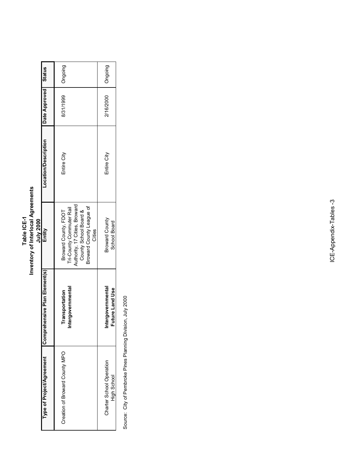| nventory of Interlocal Agreements<br>Table ICE-1<br>$\sim$ 2000 |
|-----------------------------------------------------------------|
|-----------------------------------------------------------------|

| Compreher<br>Type of Project/Agreement  |                                      |                                                                                                                                                  |                             |               |               |
|-----------------------------------------|--------------------------------------|--------------------------------------------------------------------------------------------------------------------------------------------------|-----------------------------|---------------|---------------|
|                                         | nsive Plan Element(s)                | Entity                                                                                                                                           | <b>Location/Description</b> | Date Approved | <b>Status</b> |
| Creation of Broward County MPO          | Intergovernmental<br>Transportation  | Authority, 17 Cities, Broward<br>Broward County League of<br>Tri-County Commuter Rail<br>County School Board &<br>Broward County, FDOT<br>Cities | Entire City                 | 8/31/1999     | Ongoing       |
| Charter School Operation<br>High School | Intergovernmental<br>Future Land Use | <b>Broward County</b><br>School Board                                                                                                            | Entire City                 | 2/16/2000     | Ongoing       |

Source: City of Pembroke Pines Planning Division, July 2000 Source: City of Pembroke Pines Planning Division, July 2000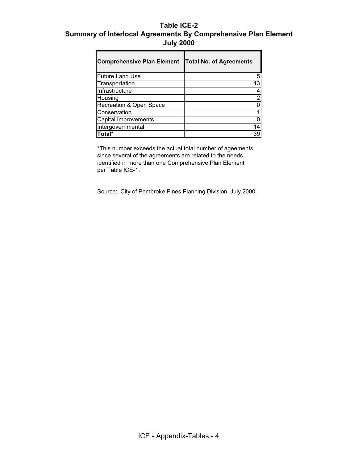#### **Table ICE-2 Summary of Interlocal Agreements By Comprehensive Plan Element July 2000**

| <b>Comprehensive Plan Element</b> | <b>Total No. of Agreements</b> |
|-----------------------------------|--------------------------------|
| <b>Future Land Use</b>            |                                |
| Transportation                    | 13                             |
| Infrastructure                    |                                |
| Housing                           |                                |
| Recreation & Open Space           |                                |
| Conservation                      |                                |
| Capital Improvements              |                                |
| Intergovernmental                 |                                |
| Total*                            | 39                             |

\*This number exceeds the actual total number of ageements since several of the agreements are related to the needs identified in more than one Comprehensive Plan Element per Table ICE-1.

Source: City of Pembroke Pines Planning Division, July 2000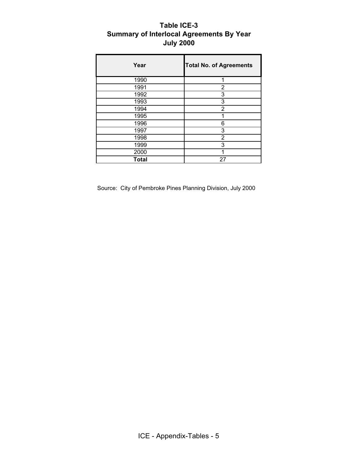#### **Table ICE-3 Summary of Interlocal Agreements By Year July 2000**

| Year         | <b>Total No. of Agreements</b> |
|--------------|--------------------------------|
| 1990         | 1                              |
| 1991         | 2                              |
| 1992         | 3                              |
| 1993         | 3                              |
| 1994         | $\overline{2}$                 |
| 1995         | 1                              |
| 1996         | 6                              |
| 1997         | 3                              |
| 1998         | 2                              |
| 1999         | 3                              |
| 2000         | 1                              |
| <b>Total</b> | 27                             |

Source: City of Pembroke Pines Planning Division, July 2000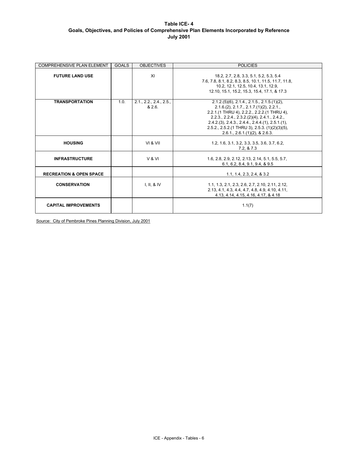#### **Table ICE- 4 Goals, Objectives, and Policies of Comprehensive Plan Elements Incorporated by Reference July 2001**

| <b>COMPREHENSIVE PLAN ELEMENT</b>  | <b>GOALS</b> | <b>OBJECTIVES</b>            | <b>POLICIES</b>                                                                                                                                                                                                                                                                                                                                               |
|------------------------------------|--------------|------------------------------|---------------------------------------------------------------------------------------------------------------------------------------------------------------------------------------------------------------------------------------------------------------------------------------------------------------------------------------------------------------|
| <b>FUTURE LAND USE</b>             |              | XI                           | 18.2, 2.7, 2.8, 3.3, 5.1, 5.2, 5.3, 5.4<br>7.6, 7.8, 8.1, 8.2, 8.3, 8.5, 10.1, 11.5, 11.7, 11.8,<br>10.2, 12.1, 12.5, 10.4, 13.1, 12.9,<br>12.10, 15.1, 15.2, 15.3, 15.4, 17.1, & 17.3                                                                                                                                                                        |
| <b>TRANSPORTATION</b>              | 1.0.         | 2.1, 2.2, 2.4, 2.5,<br>8,2.6 | $2.1.2(5)(6)$ , $2.1.4$ ., $2.1.5$ ., $2.1.5(1)(2)$ ,<br>2.1.6(2), 2.1.7, 2.1.7(1)(2), 2.2.1,<br>2.2.1.(1 THRU 4), 2.2.2., 2.2.2.(1 THRU 4),<br>$2.2.3$ , $2.2.4$ , $2.3.2(2)(4)$ , $2.4.1$ , $2.4.2$ ,<br>$2.4.2(3), 2.4.3, 2.4.4, 2.4.4(1), 2.5.1(1),$<br>$2.5.2$ ., $2.5.2$ . (1 THRU 3), $2.5.3$ . (1)(2)(3)(5),<br>$2.6.1$ , $2.6.1(1)(2)$ , $8.2.6.3$ . |
| <b>HOUSING</b>                     |              | VI & VII                     | 1.2, 1.6, 3.1, 3.2, 3.3, 3.5, 3.6, 3.7, 6.2,<br>7.2, 8.7.3                                                                                                                                                                                                                                                                                                    |
| <b>INFRASTRUCTURE</b>              |              | V & VI                       | 1.6, 2.8, 2.9, 2.12, 2.13, 2.14, 5.1, 5.5, 5.7,<br>6.1, 6.2, 8.4, 9.1, 9.4, 8.9.5                                                                                                                                                                                                                                                                             |
| <b>RECREATION &amp; OPEN SPACE</b> |              |                              | 1.1, 1.4, 2.3, 2.4, & 3.2                                                                                                                                                                                                                                                                                                                                     |
| <b>CONSERVATION</b>                |              | I, II, 8 IV                  | 1.1, 1.3, 2.1, 2.3, 2.6, 2.7, 2.10, 2.11, 2.12,<br>2.13, 4.1, 4.3, 4.4, 4.7, 4.8, 4.9, 4.10, 4.11,<br>4.13, 4.14, 4.15, 4.16, 4.17, & 4.18                                                                                                                                                                                                                    |
| <b>CAPITAL IMPROVEMENTS</b>        |              |                              | 1.1(7)                                                                                                                                                                                                                                                                                                                                                        |

Source: City of Pembroke Pines Planning Division, July 2001